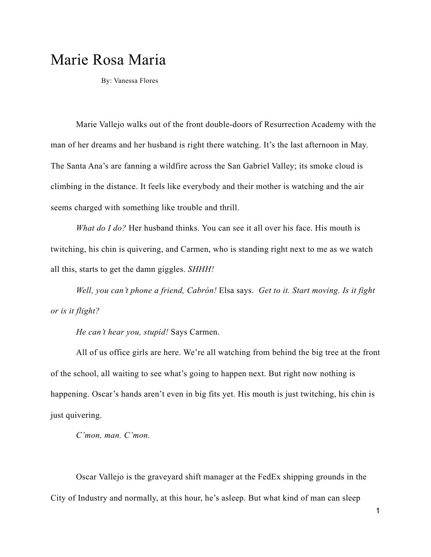# Marie Rosa Maria

By: Vanessa Flores

 Marie Vallejo walks out of the front double-doors of Resurrection Academy with the man of her dreams and her husband is right there watching. It's the last afternoon in May. The Santa Ana's are fanning a wildfire across the San Gabriel Valley; its smoke cloud is climbing in the distance. It feels like everybody and their mother is watching and the air seems charged with something like trouble and thrill.

*What do I do?* Her husband thinks. You can see it all over his face. His mouth is twitching, his chin is quivering, and Carmen, who is standing right next to me as we watch all this, starts to get the damn giggles. *SHHH!* 

*Well, you can't phone a friend, Cabrón!* Elsa says. *Get to it. Start moving. Is it fight or is it flight?* 

*He can't hear you, stupid!* Says Carmen.

All of us office girls are here. We're all watching from behind the big tree at the front of the school, all waiting to see what's going to happen next. But right now nothing is happening. Oscar's hands aren't even in big fits yet. His mouth is just twitching, his chin is just quivering.

*C'mon, man. C'mon.* 

Oscar Vallejo is the graveyard shift manager at the FedEx shipping grounds in the City of Industry and normally, at this hour, he's asleep. But what kind of man can sleep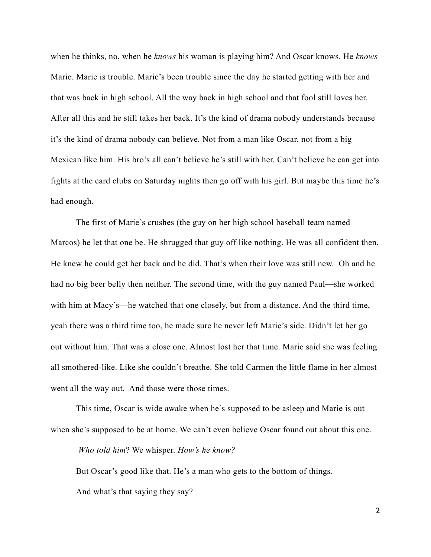when he thinks, no, when he *knows* his woman is playing him? And Oscar knows. He *knows* Marie. Marie is trouble. Marie's been trouble since the day he started getting with her and that was back in high school. All the way back in high school and that fool still loves her. After all this and he still takes her back. It's the kind of drama nobody understands because it's the kind of drama nobody can believe. Not from a man like Oscar, not from a big Mexican like him. His bro's all can't believe he's still with her. Can't believe he can get into fights at the card clubs on Saturday nights then go off with his girl. But maybe this time he's had enough.

The first of Marie's crushes (the guy on her high school baseball team named Marcos) he let that one be. He shrugged that guy off like nothing. He was all confident then. He knew he could get her back and he did. That's when their love was still new. Oh and he had no big beer belly then neither. The second time, with the guy named Paul—she worked with him at Macy's—he watched that one closely, but from a distance. And the third time, yeah there was a third time too, he made sure he never left Marie's side. Didn't let her go out without him. That was a close one. Almost lost her that time. Marie said she was feeling all smothered-like. Like she couldn't breathe. She told Carmen the little flame in her almost went all the way out. And those were those times.

This time, Oscar is wide awake when he's supposed to be asleep and Marie is out when she's supposed to be at home. We can't even believe Oscar found out about this one.

*Who told him*? We whisper. *How's he know?*

But Oscar's good like that. He's a man who gets to the bottom of things. And what's that saying they say?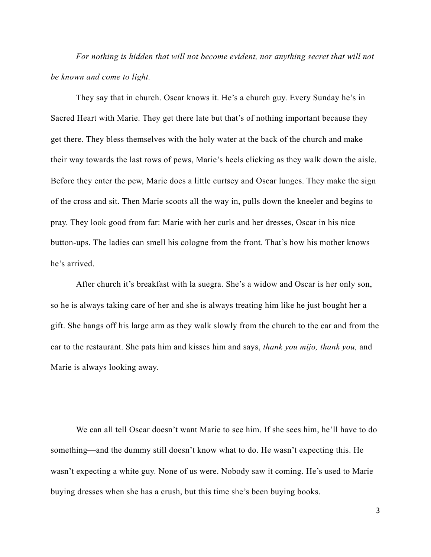*For nothing is hidden that will not become evident, nor anything secret that will not be known and come to light.*

They say that in church. Oscar knows it. He's a church guy. Every Sunday he's in Sacred Heart with Marie. They get there late but that's of nothing important because they get there. They bless themselves with the holy water at the back of the church and make their way towards the last rows of pews, Marie's heels clicking as they walk down the aisle. Before they enter the pew, Marie does a little curtsey and Oscar lunges. They make the sign of the cross and sit. Then Marie scoots all the way in, pulls down the kneeler and begins to pray. They look good from far: Marie with her curls and her dresses, Oscar in his nice button-ups. The ladies can smell his cologne from the front. That's how his mother knows he's arrived.

After church it's breakfast with la suegra. She's a widow and Oscar is her only son, so he is always taking care of her and she is always treating him like he just bought her a gift. She hangs off his large arm as they walk slowly from the church to the car and from the car to the restaurant. She pats him and kisses him and says, *thank you mijo, thank you,* and Marie is always looking away.

We can all tell Oscar doesn't want Marie to see him. If she sees him, he'll have to do something—and the dummy still doesn't know what to do. He wasn't expecting this. He wasn't expecting a white guy. None of us were. Nobody saw it coming. He's used to Marie buying dresses when she has a crush, but this time she's been buying books.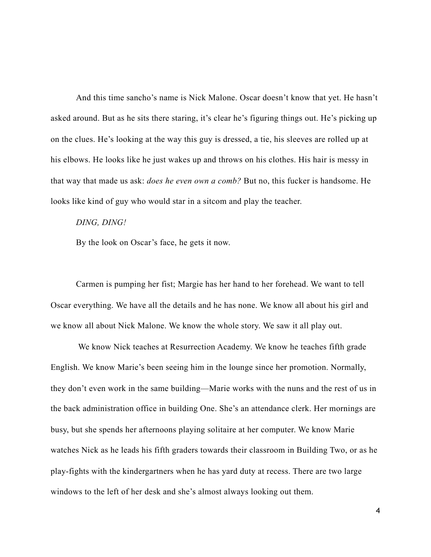And this time sancho's name is Nick Malone. Oscar doesn't know that yet. He hasn't asked around. But as he sits there staring, it's clear he's figuring things out. He's picking up on the clues. He's looking at the way this guy is dressed, a tie, his sleeves are rolled up at his elbows. He looks like he just wakes up and throws on his clothes. His hair is messy in that way that made us ask: *does he even own a comb?* But no, this fucker is handsome. He looks like kind of guy who would star in a sitcom and play the teacher.

#### *DING, DING!*

By the look on Oscar's face, he gets it now.

Carmen is pumping her fist; Margie has her hand to her forehead. We want to tell Oscar everything. We have all the details and he has none. We know all about his girl and we know all about Nick Malone. We know the whole story. We saw it all play out.

 We know Nick teaches at Resurrection Academy. We know he teaches fifth grade English. We know Marie's been seeing him in the lounge since her promotion. Normally, they don't even work in the same building—Marie works with the nuns and the rest of us in the back administration office in building One. She's an attendance clerk. Her mornings are busy, but she spends her afternoons playing solitaire at her computer. We know Marie watches Nick as he leads his fifth graders towards their classroom in Building Two, or as he play-fights with the kindergartners when he has yard duty at recess. There are two large windows to the left of her desk and she's almost always looking out them.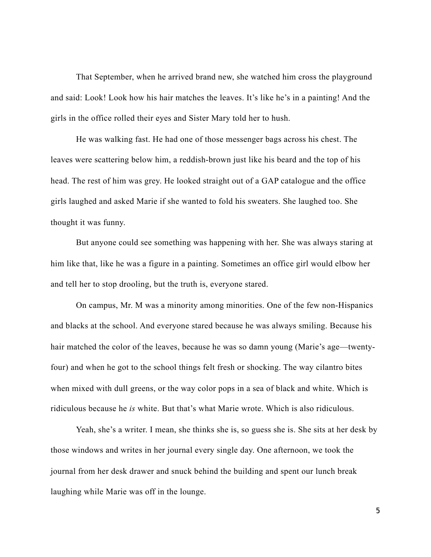That September, when he arrived brand new, she watched him cross the playground and said: Look! Look how his hair matches the leaves. It's like he's in a painting! And the girls in the office rolled their eyes and Sister Mary told her to hush.

He was walking fast. He had one of those messenger bags across his chest. The leaves were scattering below him, a reddish-brown just like his beard and the top of his head. The rest of him was grey. He looked straight out of a GAP catalogue and the office girls laughed and asked Marie if she wanted to fold his sweaters. She laughed too. She thought it was funny.

But anyone could see something was happening with her. She was always staring at him like that, like he was a figure in a painting. Sometimes an office girl would elbow her and tell her to stop drooling, but the truth is, everyone stared.

On campus, Mr. M was a minority among minorities. One of the few non-Hispanics and blacks at the school. And everyone stared because he was always smiling. Because his hair matched the color of the leaves, because he was so damn young (Marie's age—twentyfour) and when he got to the school things felt fresh or shocking. The way cilantro bites when mixed with dull greens, or the way color pops in a sea of black and white. Which is ridiculous because he *is* white. But that's what Marie wrote. Which is also ridiculous.

Yeah, she's a writer. I mean, she thinks she is, so guess she is. She sits at her desk by those windows and writes in her journal every single day. One afternoon, we took the journal from her desk drawer and snuck behind the building and spent our lunch break laughing while Marie was off in the lounge.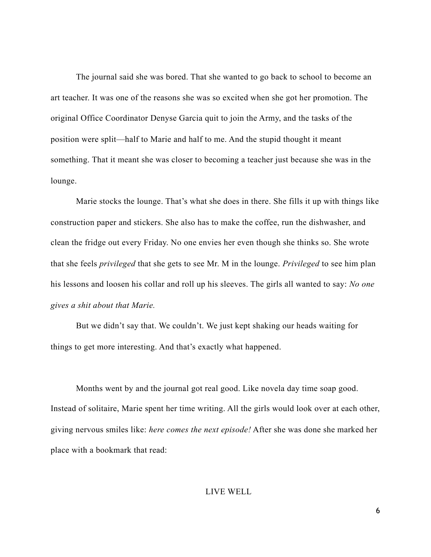The journal said she was bored. That she wanted to go back to school to become an art teacher. It was one of the reasons she was so excited when she got her promotion. The original Office Coordinator Denyse Garcia quit to join the Army, and the tasks of the position were split—half to Marie and half to me. And the stupid thought it meant something. That it meant she was closer to becoming a teacher just because she was in the lounge.

Marie stocks the lounge. That's what she does in there. She fills it up with things like construction paper and stickers. She also has to make the coffee, run the dishwasher, and clean the fridge out every Friday. No one envies her even though she thinks so. She wrote that she feels *privileged* that she gets to see Mr. M in the lounge. *Privileged* to see him plan his lessons and loosen his collar and roll up his sleeves. The girls all wanted to say: *No one gives a shit about that Marie.*

But we didn't say that. We couldn't. We just kept shaking our heads waiting for things to get more interesting. And that's exactly what happened.

Months went by and the journal got real good. Like novela day time soap good. Instead of solitaire, Marie spent her time writing. All the girls would look over at each other, giving nervous smiles like: *here comes the next episode!* After she was done she marked her place with a bookmark that read:

#### LIVE WELL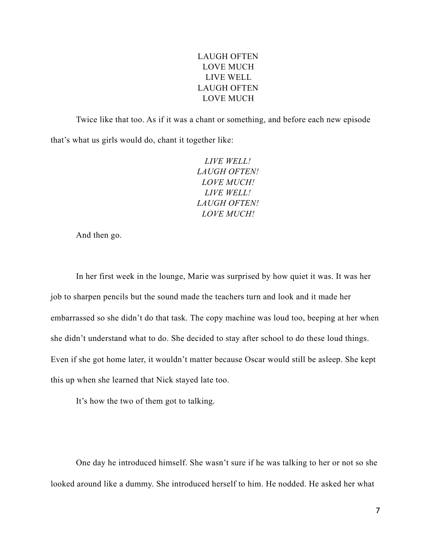## LAUGH OFTEN LOVE MUCH LIVE WELL LAUGH OFTEN LOVE MUCH

Twice like that too. As if it was a chant or something, and before each new episode that's what us girls would do, chant it together like:

> *LIVE WELL! LAUGH OFTEN! LOVE MUCH! LIVE WELL! LAUGH OFTEN! LOVE MUCH!*

And then go.

In her first week in the lounge, Marie was surprised by how quiet it was. It was her job to sharpen pencils but the sound made the teachers turn and look and it made her embarrassed so she didn't do that task. The copy machine was loud too, beeping at her when she didn't understand what to do. She decided to stay after school to do these loud things. Even if she got home later, it wouldn't matter because Oscar would still be asleep. She kept this up when she learned that Nick stayed late too.

It's how the two of them got to talking.

One day he introduced himself. She wasn't sure if he was talking to her or not so she looked around like a dummy. She introduced herself to him. He nodded. He asked her what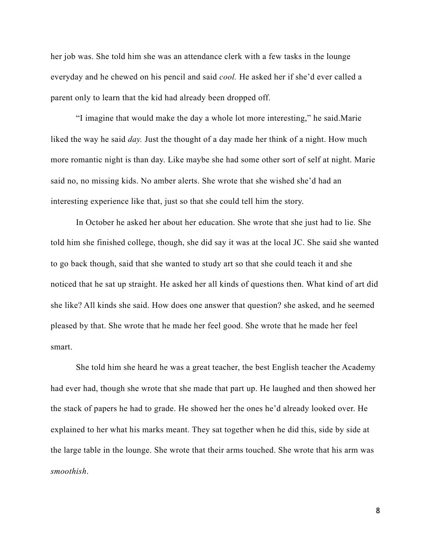her job was. She told him she was an attendance clerk with a few tasks in the lounge everyday and he chewed on his pencil and said *cool.* He asked her if she'd ever called a parent only to learn that the kid had already been dropped off.

"I imagine that would make the day a whole lot more interesting," he said.Marie liked the way he said *day*. Just the thought of a day made her think of a night. How much more romantic night is than day. Like maybe she had some other sort of self at night. Marie said no, no missing kids. No amber alerts. She wrote that she wished she'd had an interesting experience like that, just so that she could tell him the story.

In October he asked her about her education. She wrote that she just had to lie. She told him she finished college, though, she did say it was at the local JC. She said she wanted to go back though, said that she wanted to study art so that she could teach it and she noticed that he sat up straight. He asked her all kinds of questions then. What kind of art did she like? All kinds she said. How does one answer that question? she asked, and he seemed pleased by that. She wrote that he made her feel good. She wrote that he made her feel smart.

She told him she heard he was a great teacher, the best English teacher the Academy had ever had, though she wrote that she made that part up. He laughed and then showed her the stack of papers he had to grade. He showed her the ones he'd already looked over. He explained to her what his marks meant. They sat together when he did this, side by side at the large table in the lounge. She wrote that their arms touched. She wrote that his arm was *smoothish*.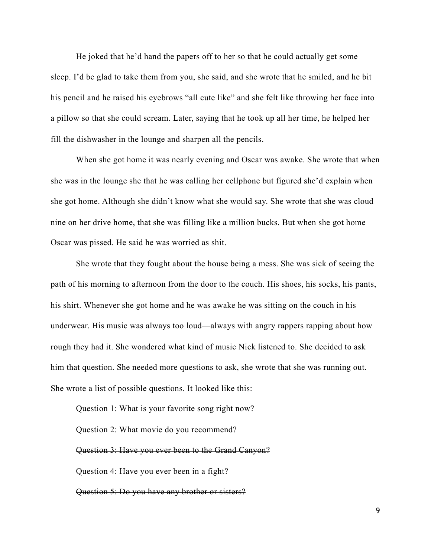He joked that he'd hand the papers off to her so that he could actually get some sleep. I'd be glad to take them from you, she said, and she wrote that he smiled, and he bit his pencil and he raised his eyebrows "all cute like" and she felt like throwing her face into a pillow so that she could scream. Later, saying that he took up all her time, he helped her fill the dishwasher in the lounge and sharpen all the pencils.

When she got home it was nearly evening and Oscar was awake. She wrote that when she was in the lounge she that he was calling her cellphone but figured she'd explain when she got home. Although she didn't know what she would say. She wrote that she was cloud nine on her drive home, that she was filling like a million bucks. But when she got home Oscar was pissed. He said he was worried as shit.

She wrote that they fought about the house being a mess. She was sick of seeing the path of his morning to afternoon from the door to the couch. His shoes, his socks, his pants, his shirt. Whenever she got home and he was awake he was sitting on the couch in his underwear. His music was always too loud—always with angry rappers rapping about how rough they had it. She wondered what kind of music Nick listened to. She decided to ask him that question. She needed more questions to ask, she wrote that she was running out. She wrote a list of possible questions. It looked like this:

Question 1: What is your favorite song right now? Question 2: What movie do you recommend? Question 3: Have you ever been to the Grand Canyon? Question 4: Have you ever been in a fight? Question 5: Do you have any brother or sisters?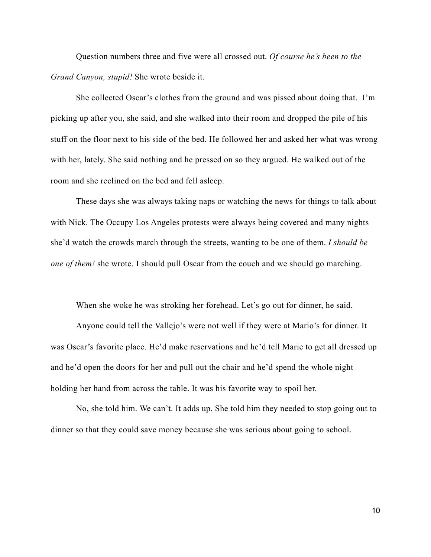Question numbers three and five were all crossed out. *Of course he's been to the Grand Canyon, stupid!* She wrote beside it.

She collected Oscar's clothes from the ground and was pissed about doing that. I'm picking up after you, she said, and she walked into their room and dropped the pile of his stuff on the floor next to his side of the bed. He followed her and asked her what was wrong with her, lately. She said nothing and he pressed on so they argued. He walked out of the room and she reclined on the bed and fell asleep.

These days she was always taking naps or watching the news for things to talk about with Nick. The Occupy Los Angeles protests were always being covered and many nights she'd watch the crowds march through the streets, wanting to be one of them. *I should be one of them!* she wrote. I should pull Oscar from the couch and we should go marching.

When she woke he was stroking her forehead. Let's go out for dinner, he said.

Anyone could tell the Vallejo's were not well if they were at Mario's for dinner. It was Oscar's favorite place. He'd make reservations and he'd tell Marie to get all dressed up and he'd open the doors for her and pull out the chair and he'd spend the whole night holding her hand from across the table. It was his favorite way to spoil her.

No, she told him. We can't. It adds up. She told him they needed to stop going out to dinner so that they could save money because she was serious about going to school.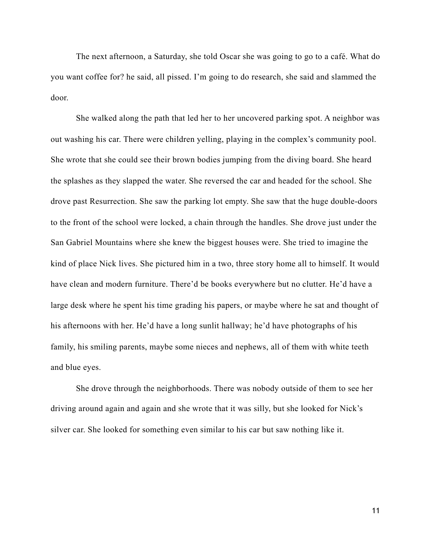The next afternoon, a Saturday, she told Oscar she was going to go to a café. What do you want coffee for? he said, all pissed. I'm going to do research, she said and slammed the door.

She walked along the path that led her to her uncovered parking spot. A neighbor was out washing his car. There were children yelling, playing in the complex's community pool. She wrote that she could see their brown bodies jumping from the diving board. She heard the splashes as they slapped the water. She reversed the car and headed for the school. She drove past Resurrection. She saw the parking lot empty. She saw that the huge double-doors to the front of the school were locked, a chain through the handles. She drove just under the San Gabriel Mountains where she knew the biggest houses were. She tried to imagine the kind of place Nick lives. She pictured him in a two, three story home all to himself. It would have clean and modern furniture. There'd be books everywhere but no clutter. He'd have a large desk where he spent his time grading his papers, or maybe where he sat and thought of his afternoons with her. He'd have a long sunlit hallway; he'd have photographs of his family, his smiling parents, maybe some nieces and nephews, all of them with white teeth and blue eyes.

She drove through the neighborhoods. There was nobody outside of them to see her driving around again and again and she wrote that it was silly, but she looked for Nick's silver car. She looked for something even similar to his car but saw nothing like it.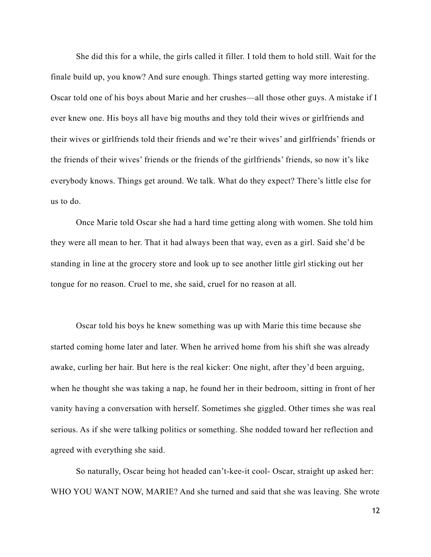She did this for a while, the girls called it filler. I told them to hold still. Wait for the finale build up, you know? And sure enough. Things started getting way more interesting. Oscar told one of his boys about Marie and her crushes—all those other guys. A mistake if I ever knew one. His boys all have big mouths and they told their wives or girlfriends and their wives or girlfriends told their friends and we're their wives' and girlfriends' friends or the friends of their wives' friends or the friends of the girlfriends' friends, so now it's like everybody knows. Things get around. We talk. What do they expect? There's little else for us to do.

Once Marie told Oscar she had a hard time getting along with women. She told him they were all mean to her. That it had always been that way, even as a girl. Said she'd be standing in line at the grocery store and look up to see another little girl sticking out her tongue for no reason. Cruel to me, she said, cruel for no reason at all.

Oscar told his boys he knew something was up with Marie this time because she started coming home later and later. When he arrived home from his shift she was already awake, curling her hair. But here is the real kicker: One night, after they'd been arguing, when he thought she was taking a nap, he found her in their bedroom, sitting in front of her vanity having a conversation with herself. Sometimes she giggled. Other times she was real serious. As if she were talking politics or something. She nodded toward her reflection and agreed with everything she said.

So naturally, Oscar being hot headed can't-kee-it cool- Oscar, straight up asked her: WHO YOU WANT NOW, MARIE? And she turned and said that she was leaving. She wrote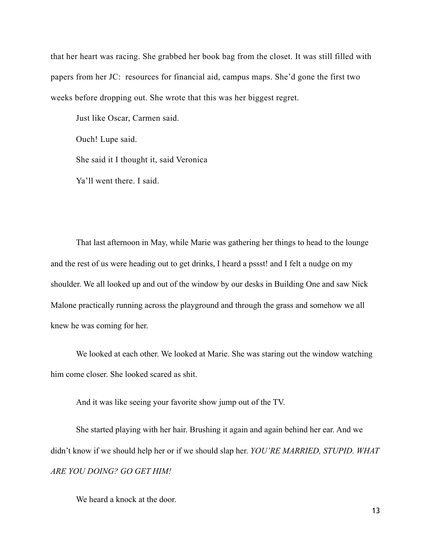that her heart was racing. She grabbed her book bag from the closet. It was still filled with papers from her JC: resources for financial aid, campus maps. She'd gone the first two weeks before dropping out. She wrote that this was her biggest regret.

Just like Oscar, Carmen said.

Ouch! Lupe said.

She said it I thought it, said Veronica

Ya'll went there. I said.

That last afternoon in May, while Marie was gathering her things to head to the lounge and the rest of us were heading out to get drinks, I heard a pssst! and I felt a nudge on my shoulder. We all looked up and out of the window by our desks in Building One and saw Nick Malone practically running across the playground and through the grass and somehow we all knew he was coming for her.

We looked at each other. We looked at Marie. She was staring out the window watching him come closer. She looked scared as shit.

And it was like seeing your favorite show jump out of the TV.

She started playing with her hair. Brushing it again and again behind her ear. And we didn't know if we should help her or if we should slap her. *YOU'RE MARRIED, STUPID. WHAT ARE YOU DOING? GO GET HIM!*

We heard a knock at the door.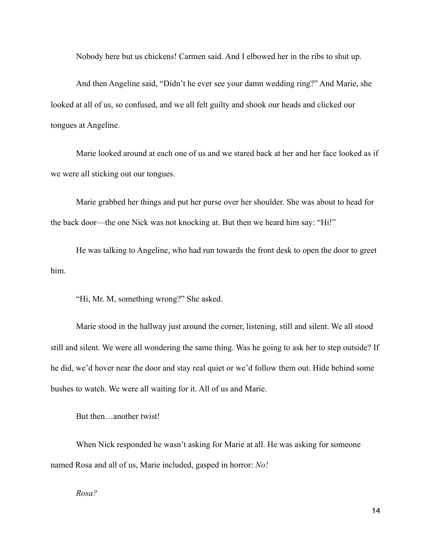Nobody here but us chickens! Carmen said. And I elbowed her in the ribs to shut up.

And then Angeline said, "Didn't he ever see your damn wedding ring?" And Marie, she looked at all of us, so confused, and we all felt guilty and shook our heads and clicked our tongues at Angeline.

Marie looked around at each one of us and we stared back at her and her face looked as if we were all sticking out our tongues.

Marie grabbed her things and put her purse over her shoulder. She was about to head for the back door—the one Nick was not knocking at. But then we heard him say: "Hi!"

He was talking to Angeline, who had run towards the front desk to open the door to greet him.

"Hi, Mr. M, something wrong?" She asked.

Marie stood in the hallway just around the corner, listening, still and silent. We all stood still and silent. We were all wondering the same thing. Was he going to ask her to step outside? If he did, we'd hover near the door and stay real quiet or we'd follow them out. Hide behind some bushes to watch. We were all waiting for it. All of us and Marie.

But then…another twist!

When Nick responded he wasn't asking for Marie at all. He was asking for someone named Rosa and all of us, Marie included, gasped in horror: *No!* 

*Rosa?*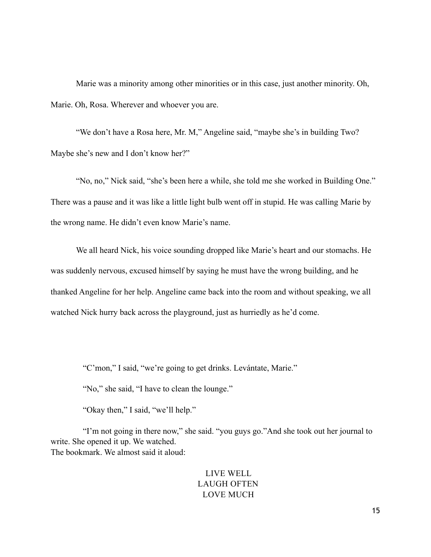Marie was a minority among other minorities or in this case, just another minority. Oh, Marie. Oh, Rosa. Wherever and whoever you are.

"We don't have a Rosa here, Mr. M," Angeline said, "maybe she's in building Two? Maybe she's new and I don't know her?"

"No, no," Nick said, "she's been here a while, she told me she worked in Building One." There was a pause and it was like a little light bulb went off in stupid. He was calling Marie by the wrong name. He didn't even know Marie's name.

We all heard Nick, his voice sounding dropped like Marie's heart and our stomachs. He was suddenly nervous, excused himself by saying he must have the wrong building, and he thanked Angeline for her help. Angeline came back into the room and without speaking, we all watched Nick hurry back across the playground, just as hurriedly as he'd come.

"C'mon," I said, "we're going to get drinks. Levántate, Marie."

"No," she said, "I have to clean the lounge."

"Okay then," I said, "we'll help."

 "I'm not going in there now," she said. "you guys go."And she took out her journal to write. She opened it up. We watched. The bookmark. We almost said it aloud:

### LIVE WELL LAUGH OFTEN LOVE MUCH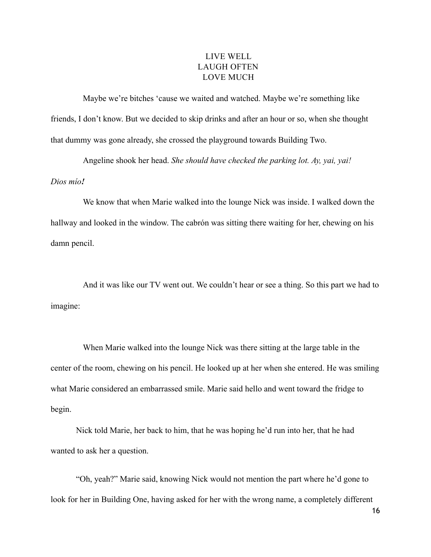## LIVE WELL LAUGH OFTEN LOVE MUCH

 Maybe we're bitches 'cause we waited and watched. Maybe we're something like friends, I don't know. But we decided to skip drinks and after an hour or so, when she thought that dummy was gone already, she crossed the playground towards Building Two.

Angeline shook her head. *She should have checked the parking lot. Ay, yai, yai!* 

*[Dios](http://en.wiktionary.org/wiki/Dios#Spanish) [mío](http://en.wiktionary.org/wiki/m%25C3%25ADo#Spanish)!*

 We know that when Marie walked into the lounge Nick was inside. I walked down the hallway and looked in the window. The cabrón was sitting there waiting for her, chewing on his damn pencil.

 And it was like our TV went out. We couldn't hear or see a thing. So this part we had to imagine:

 When Marie walked into the lounge Nick was there sitting at the large table in the center of the room, chewing on his pencil. He looked up at her when she entered. He was smiling what Marie considered an embarrassed smile. Marie said hello and went toward the fridge to begin.

 Nick told Marie, her back to him, that he was hoping he'd run into her, that he had wanted to ask her a question.

"Oh, yeah?" Marie said, knowing Nick would not mention the part where he'd gone to look for her in Building One, having asked for her with the wrong name, a completely different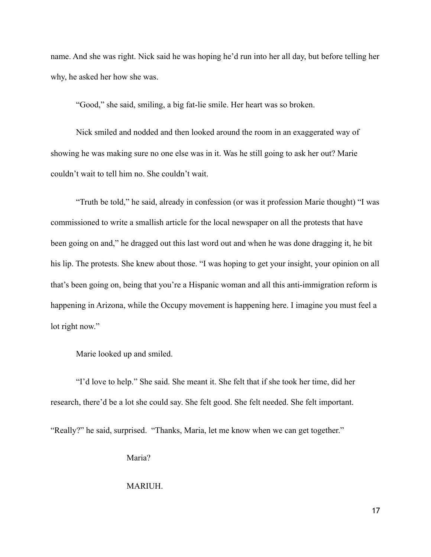name. And she was right. Nick said he was hoping he'd run into her all day, but before telling her why, he asked her how she was.

"Good," she said, smiling, a big fat-lie smile. Her heart was so broken.

 Nick smiled and nodded and then looked around the room in an exaggerated way of showing he was making sure no one else was in it. Was he still going to ask her out? Marie couldn't wait to tell him no. She couldn't wait.

 "Truth be told," he said, already in confession (or was it profession Marie thought) "I was commissioned to write a smallish article for the local newspaper on all the protests that have been going on and," he dragged out this last word out and when he was done dragging it, he bit his lip. The protests. She knew about those. "I was hoping to get your insight, your opinion on all that's been going on, being that you're a Hispanic woman and all this anti-immigration reform is happening in Arizona, while the Occupy movement is happening here. I imagine you must feel a lot right now."

Marie looked up and smiled.

"I'd love to help." She said. She meant it. She felt that if she took her time, did her research, there'd be a lot she could say. She felt good. She felt needed. She felt important.

"Really?" he said, surprised. "Thanks, Maria, let me know when we can get together."

Maria?

MARIUH.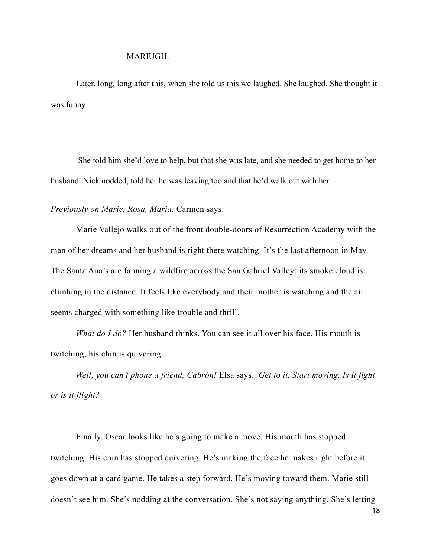#### MARIUGH.

 Later, long, long after this, when she told us this we laughed. She laughed. She thought it was funny.

 She told him she'd love to help, but that she was late, and she needed to get home to her husband. Nick nodded, told her he was leaving too and that he'd walk out with her.

*Previously on Marie, Rosa, Maria,* Carmen says.

Marie Vallejo walks out of the front double-doors of Resurrection Academy with the man of her dreams and her husband is right there watching. It's the last afternoon in May. The Santa Ana's are fanning a wildfire across the San Gabriel Valley; its smoke cloud is climbing in the distance. It feels like everybody and their mother is watching and the air seems charged with something like trouble and thrill.

*What do I do?* Her husband thinks. You can see it all over his face. His mouth is twitching, his chin is quivering.

*Well, you can't phone a friend, Cabrón!* Elsa says. *Get to it. Start moving. Is it fight or is it flight?* 

Finally, Oscar looks like he's going to make a move. His mouth has stopped twitching. His chin has stopped quivering. He's making the face he makes right before it goes down at a card game. He takes a step forward. He's moving toward them. Marie still doesn't see him. She's nodding at the conversation. She's not saying anything. She's letting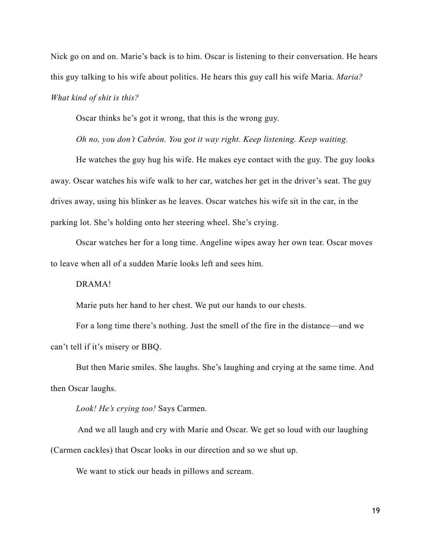Nick go on and on. Marie's back is to him. Oscar is listening to their conversation. He hears this guy talking to his wife about politics. He hears this guy call his wife Maria. *Maria? What kind of shit is this?*

Oscar thinks he's got it wrong, that this is the wrong guy.

*Oh no, you don't Cabrón. You got it way right. Keep listening. Keep waiting.* 

He watches the guy hug his wife. He makes eye contact with the guy. The guy looks away. Oscar watches his wife walk to her car, watches her get in the driver's seat. The guy drives away, using his blinker as he leaves. Oscar watches his wife sit in the car, in the parking lot. She's holding onto her steering wheel. She's crying.

Oscar watches her for a long time. Angeline wipes away her own tear. Oscar moves to leave when all of a sudden Marie looks left and sees him.

DRAMA!

Marie puts her hand to her chest. We put our hands to our chests.

For a long time there's nothing. Just the smell of the fire in the distance—and we can't tell if it's misery or BBQ.

But then Marie smiles. She laughs. She's laughing and crying at the same time. And then Oscar laughs.

*Look! He's crying too!* Says Carmen.

 And we all laugh and cry with Marie and Oscar. We get so loud with our laughing (Carmen cackles) that Oscar looks in our direction and so we shut up.

We want to stick our heads in pillows and scream.